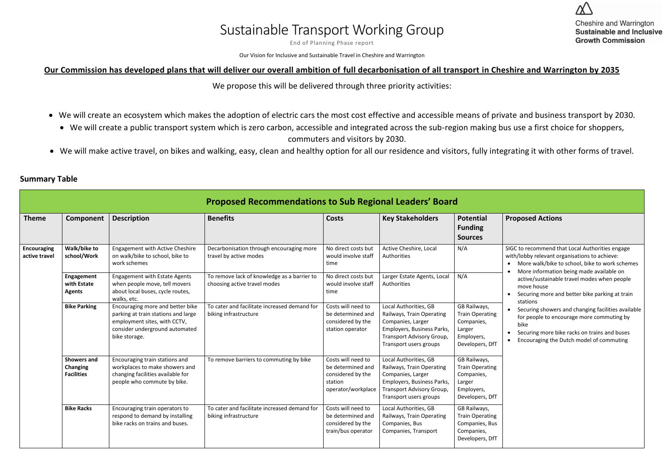## Sustainable Transport Working Group

End of Planning Phase report

Our Vision for Inclusive and Sustainable Travel in Cheshire and Warrington

## **Our Commission has developed plans that will deliver our overall ambition of full decarbonisation of all transport in Cheshire and Warrington by 2035**

We propose this will be delivered through three priority activities:

- We will create an ecosystem which makes the adoption of electric cars the most cost effective and accessible means of private and business transport by 2030.
	- We will create a public transport system which is zero carbon, accessible and integrated across the sub-region making bus use a first choice for shoppers, commuters and visitors by 2030.
- We will make active travel, on bikes and walking, easy, clean and healthy option for all our residence and visitors, fully integrating it with other forms of travel.

| <b>Summary Table</b> |  |
|----------------------|--|
|----------------------|--|

|                              |                                                            |                                                                                                                                                            | <b>Proposed Recommendations to Sub Regional Leaders' Board</b>              |                                                                                               |                                                                                                                                                              |                                                                                                 |                                                                                                                                                                                                                  |
|------------------------------|------------------------------------------------------------|------------------------------------------------------------------------------------------------------------------------------------------------------------|-----------------------------------------------------------------------------|-----------------------------------------------------------------------------------------------|--------------------------------------------------------------------------------------------------------------------------------------------------------------|-------------------------------------------------------------------------------------------------|------------------------------------------------------------------------------------------------------------------------------------------------------------------------------------------------------------------|
| <b>Theme</b>                 | Component                                                  | <b>Description</b>                                                                                                                                         | <b>Benefits</b>                                                             | <b>Costs</b>                                                                                  | <b>Key Stakeholders</b>                                                                                                                                      | <b>Potential</b><br><b>Funding</b><br><b>Sources</b>                                            | <b>Proposed Actions</b>                                                                                                                                                                                          |
| Encouraging<br>active travel | Walk/bike to<br>school/Work                                | <b>Engagement with Active Cheshire</b><br>on walk/bike to school, bike to<br>work schemes                                                                  | Decarbonisation through encouraging more<br>travel by active modes          | No direct costs but<br>would involve staff<br>time                                            | Active Cheshire, Local<br>Authorities                                                                                                                        | N/A                                                                                             | SIGC to recommend that Local Authorities engage<br>with/lobby relevant organisations to achieve:<br>• More walk/bike to school, bike to work schemes<br>More information being made available on                 |
|                              | Engagement<br>with Estate<br><b>Agents</b>                 | <b>Engagement with Estate Agents</b><br>when people move, tell movers<br>about local buses, cycle routes,<br>walks, etc.                                   | To remove lack of knowledge as a barrier to<br>choosing active travel modes | No direct costs but<br>would involve staff<br>time                                            | Larger Estate Agents, Local<br>Authorities                                                                                                                   | N/A                                                                                             | active/sustainable travel modes when people<br>move house<br>Securing more and better bike parking at train<br>stations                                                                                          |
|                              | <b>Bike Parking</b>                                        | Encouraging more and better bike<br>parking at train stations and large<br>employment sites, with CCTV,<br>consider underground automated<br>bike storage. | To cater and facilitate increased demand for<br>biking infrastructure       | Costs will need to<br>be determined and<br>considered by the<br>station operator              | Local Authorities, GB<br>Railways, Train Operating<br>Companies, Larger<br>Employers, Business Parks,<br>Transport Advisory Group,<br>Transport users groups | GB Railways,<br><b>Train Operating</b><br>Companies,<br>Larger<br>Employers,<br>Developers, DfT | Securing showers and changing facilities available<br>for people to encourage more commuting by<br>bike<br>Securing more bike racks on trains and buses<br>Encouraging the Dutch model of commuting<br>$\bullet$ |
|                              | <b>Showers and</b><br><b>Changing</b><br><b>Facilities</b> | Encouraging train stations and<br>workplaces to make showers and<br>changing facilities available for<br>people who commute by bike.                       | To remove barriers to commuting by bike                                     | Costs will need to<br>be determined and<br>considered by the<br>station<br>operator/workplace | Local Authorities, GB<br>Railways, Train Operating<br>Companies, Larger<br>Employers, Business Parks,<br>Transport Advisory Group,<br>Transport users groups | GB Railways,<br><b>Train Operating</b><br>Companies,<br>Larger<br>Employers,<br>Developers, DfT |                                                                                                                                                                                                                  |
|                              | <b>Bike Racks</b>                                          | Encouraging train operators to<br>respond to demand by installing<br>bike racks on trains and buses.                                                       | To cater and facilitate increased demand for<br>biking infrastructure       | Costs will need to<br>be determined and<br>considered by the<br>train/bus operator            | Local Authorities, GB<br>Railways, Train Operating<br>Companies, Bus<br>Companies, Transport                                                                 | GB Railways,<br><b>Train Operating</b><br>Companies, Bus<br>Companies,<br>Developers, DfT       |                                                                                                                                                                                                                  |

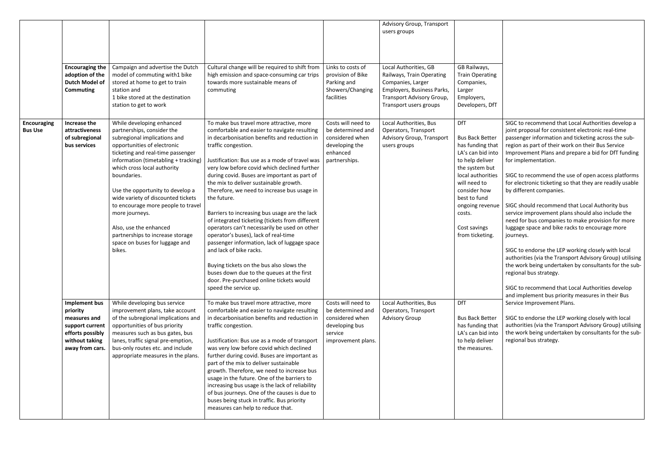|                                      |                                                                                                                       |                                                                                                                                                                                                                                                                                                                                                                                                                                                                                               |                                                                                                                                                                                                                                                                                                                                                                                                                                                                                                                                                                                                                                                                                                                                                                                                                                                                |                                                                                                               | Advisory Group, Transport<br>users groups                                                                                                                    |                                                                                                                                                                                                                                                         |
|--------------------------------------|-----------------------------------------------------------------------------------------------------------------------|-----------------------------------------------------------------------------------------------------------------------------------------------------------------------------------------------------------------------------------------------------------------------------------------------------------------------------------------------------------------------------------------------------------------------------------------------------------------------------------------------|----------------------------------------------------------------------------------------------------------------------------------------------------------------------------------------------------------------------------------------------------------------------------------------------------------------------------------------------------------------------------------------------------------------------------------------------------------------------------------------------------------------------------------------------------------------------------------------------------------------------------------------------------------------------------------------------------------------------------------------------------------------------------------------------------------------------------------------------------------------|---------------------------------------------------------------------------------------------------------------|--------------------------------------------------------------------------------------------------------------------------------------------------------------|---------------------------------------------------------------------------------------------------------------------------------------------------------------------------------------------------------------------------------------------------------|
|                                      | <b>Encouraging the</b><br>adoption of the<br><b>Dutch Model of</b><br><b>Commuting</b>                                | Campaign and advertise the Dutch<br>model of commuting with1 bike<br>stored at home to get to train<br>station and<br>1 bike stored at the destination<br>station to get to work                                                                                                                                                                                                                                                                                                              | Cultural change will be required to shift from<br>high emission and space-consuming car trips<br>towards more sustainable means of<br>commuting                                                                                                                                                                                                                                                                                                                                                                                                                                                                                                                                                                                                                                                                                                                | Links to costs of<br>provision of Bike<br>Parking and<br>Showers/Changing<br>facilities                       | Local Authorities, GB<br>Railways, Train Operating<br>Companies, Larger<br>Employers, Business Parks,<br>Transport Advisory Group,<br>Transport users groups | GB Railways,<br><b>Train Operating</b><br>Companies,<br>Larger<br>Employers,<br>Developers, DfT                                                                                                                                                         |
| <b>Encouraging</b><br><b>Bus Use</b> | Increase the<br>attractiveness<br>of subregional<br>bus services                                                      | While developing enhanced<br>partnerships, consider the<br>subregional implications and<br>opportunities of electronic<br>ticketing and real-time passenger<br>information (timetabling + tracking)<br>which cross local authority<br>boundaries.<br>Use the opportunity to develop a<br>wide variety of discounted tickets<br>to encourage more people to travel<br>more journeys.<br>Also, use the enhanced<br>partnerships to increase storage<br>space on buses for luggage and<br>bikes. | To make bus travel more attractive, more<br>comfortable and easier to navigate resulting<br>in decarbonisation benefits and reduction in<br>traffic congestion.<br>Justification: Bus use as a mode of travel was<br>very low before covid which declined further<br>during covid. Buses are important as part of<br>the mix to deliver sustainable growth.<br>Therefore, we need to increase bus usage in<br>the future.<br>Barriers to increasing bus usage are the lack<br>of integrated ticketing (tickets from different<br>operators can't necessarily be used on other<br>operator's buses), lack of real-time<br>passenger information, lack of luggage space<br>and lack of bike racks.<br>Buying tickets on the bus also slows the<br>buses down due to the queues at the first<br>door. Pre-purchased online tickets would<br>speed the service up. | Costs will need to<br>be determined and<br>considered when<br>developing the<br>enhanced<br>partnerships.     | Local Authorities, Bus<br>Operators, Transport<br>Advisory Group, Transport<br>users groups                                                                  | <b>DfT</b><br><b>Bus Back Better</b><br>has funding that<br>LA's can bid into<br>to help deliver<br>the system but<br>local authorities<br>will need to<br>consider how<br>best to fund<br>ongoing revenue<br>costs.<br>Cost savings<br>from ticketing. |
|                                      | Implement bus<br>priority<br>measures and<br>support current<br>efforts possibly<br>without taking<br>away from cars. | While developing bus service<br>improvement plans, take account<br>of the subregional implications and<br>opportunities of bus priority<br>measures such as bus gates, bus<br>lanes, traffic signal pre-emption,<br>bus-only routes etc. and include<br>appropriate measures in the plans.                                                                                                                                                                                                    | To make bus travel more attractive, more<br>comfortable and easier to navigate resulting<br>in decarbonisation benefits and reduction in<br>traffic congestion.<br>Justification: Bus use as a mode of transport<br>was very low before covid which declined<br>further during covid. Buses are important as<br>part of the mix to deliver sustainable<br>growth. Therefore, we need to increase bus<br>usage in the future. One of the barriers to<br>increasing bus usage is the lack of reliability<br>of bus journeys. One of the causes is due to<br>buses being stuck in traffic. Bus priority<br>measures can help to reduce that.                                                                                                                                                                                                                      | Costs will need to<br>be determined and<br>considered when<br>developing bus<br>service<br>improvement plans. | Local Authorities, Bus<br>Operators, Transport<br><b>Advisory Group</b>                                                                                      | DfT<br><b>Bus Back Better</b><br>has funding that<br>LA's can bid into<br>to help deliver<br>the measures.                                                                                                                                              |

SIGC to recommend that Local Authorities develop a joint proposal for consistent electronic real-time passenger information and ticketing across the subregion as part of their work on their Bus Service Improvement Plans and prepare a bid for DfT funding for implementation.

SIGC to recommend the use of open access platforms for electronic ticketing so that they are readily usable by different companies.

SIGC should recommend that Local Authority bus service improvement plans should also include the need for bus companies to make provision for more luggage space and bike racks to encourage more journeys.

SIGC to endorse the LEP working closely with local authorities (via the Transport Advisory Group) utilising the work being undertaken by consultants for the subregional bus strategy.

SIGC to recommend that Local Authorities develop and implement bus priority measures in their Bus Service Improvement Plans.

SIGC to endorse the LEP working closely with local authorities (via the Transport Advisory Group) utilising the work being undertaken by consultants for the subregional bus strategy.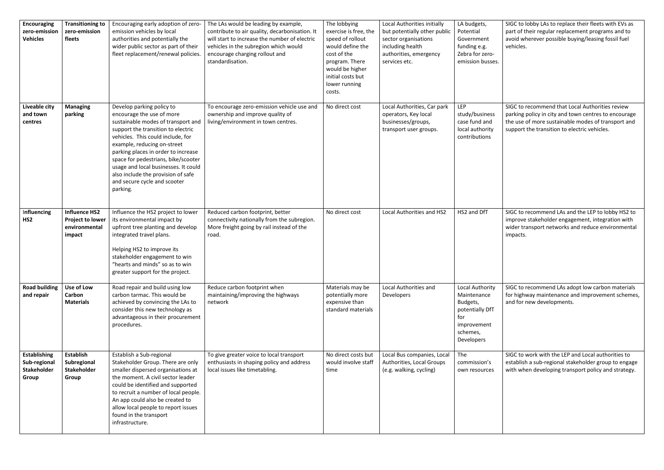SIGC to lobby LAs to replace their fleets with EVs as part of their regular replacement programs and to avoid wherever possible buying/leasing fossil fuel vehicles.

SIGC to recommend LAs and the LEP to lobby HS2 to improve stakeholder engagement, integration with wider transport networks and reduce environmental impacts.

SIGC to recommend that Local Authorities review parking policy in city and town centres to encourage the use of more sustainable modes of transport and support the transition to electric vehicles.

| <b>Encouraging</b><br>zero-emission<br><b>Vehicles</b>             | <b>Transitioning to</b><br>zero-emission<br>fleets                         | Encouraging early adoption of zero-<br>emission vehicles by local<br>authorities and potentially the<br>wider public sector as part of their<br>fleet replacement/renewal policies.                                                                                                                                                                                                                            | The LAs would be leading by example,<br>contribute to air quality, decarbonisation. It<br>will start to increase the number of electric<br>vehicles in the subregion which would<br>encourage charging rollout and<br>standardisation. | The lobbying<br>exercise is free, the<br>speed of rollout<br>would define the<br>cost of the<br>program. There<br>would be higher<br>initial costs but<br>lower running<br>costs. | Local Authorities initially<br>but potentially other public<br>sector organisations<br>including health<br>authorities, emergency<br>services etc. | LA budgets,<br>Potential<br>Government<br>funding e.g.<br>Zebra for zero-<br>emission busses.                 |
|--------------------------------------------------------------------|----------------------------------------------------------------------------|----------------------------------------------------------------------------------------------------------------------------------------------------------------------------------------------------------------------------------------------------------------------------------------------------------------------------------------------------------------------------------------------------------------|----------------------------------------------------------------------------------------------------------------------------------------------------------------------------------------------------------------------------------------|-----------------------------------------------------------------------------------------------------------------------------------------------------------------------------------|----------------------------------------------------------------------------------------------------------------------------------------------------|---------------------------------------------------------------------------------------------------------------|
| Liveable city<br>and town<br>centres                               | <b>Managing</b><br>parking                                                 | Develop parking policy to<br>encourage the use of more<br>sustainable modes of transport and<br>support the transition to electric<br>vehicles. This could include, for<br>example, reducing on-street<br>parking places in order to increase<br>space for pedestrians, bike/scooter<br>usage and local businesses. It could<br>also include the provision of safe<br>and secure cycle and scooter<br>parking. | To encourage zero-emission vehicle use and<br>ownership and improve quality of<br>living/environment in town centres.                                                                                                                  | No direct cost                                                                                                                                                                    | Local Authorities, Car park<br>operators, Key local<br>businesses/groups,<br>transport user groups.                                                | <b>LEP</b><br>study/business<br>case fund and<br>local authority<br>contributions                             |
| Influencing<br>HS <sub>2</sub>                                     | <b>Influence HS2</b><br><b>Project to lower</b><br>environmental<br>impact | Influence the HS2 project to lower<br>its environmental impact by<br>upfront tree planting and develop<br>integrated travel plans.<br>Helping HS2 to improve its<br>stakeholder engagement to win<br>"hearts and minds" so as to win<br>greater support for the project.                                                                                                                                       | Reduced carbon footprint, better<br>connectivity nationally from the subregion.<br>More freight going by rail instead of the<br>road.                                                                                                  | No direct cost                                                                                                                                                                    | Local Authorities and HS2                                                                                                                          | HS2 and DfT                                                                                                   |
| <b>Road building</b><br>and repair                                 | Use of Low<br>Carbon<br><b>Materials</b>                                   | Road repair and build using low<br>carbon tarmac. This would be<br>achieved by convincing the LAs to<br>consider this new technology as<br>advantageous in their procurement<br>procedures.                                                                                                                                                                                                                    | Reduce carbon footprint when<br>maintaining/improving the highways<br>network                                                                                                                                                          | Materials may be<br>potentially more<br>expensive than<br>standard materials                                                                                                      | Local Authorities and<br>Developers                                                                                                                | Local Authority<br>Maintenance<br>Budgets,<br>potentially DfT<br>for<br>improvement<br>schemes,<br>Developers |
| <b>Establishing</b><br>Sub-regional<br><b>Stakeholder</b><br>Group | <b>Establish</b><br>Subregional<br><b>Stakeholder</b><br>Group             | Establish a Sub-regional<br>Stakeholder Group. There are only<br>smaller dispersed organisations at<br>the moment. A civil sector leader<br>could be identified and supported<br>to recruit a number of local people.<br>An app could also be created to<br>allow local people to report issues<br>found in the transport<br>infrastructure.                                                                   | To give greater voice to local transport<br>enthusiasts in shaping policy and address<br>local issues like timetabling.                                                                                                                | No direct costs but<br>would involve staff<br>time                                                                                                                                | Local Bus companies, Local<br>Authorities, Local Groups<br>(e.g. walking, cycling)                                                                 | The<br>commission's<br>own resources                                                                          |

SIGC to recommend LAs adopt low carbon materials for highway maintenance and improvement schemes, and for new developments.

SIGC to work with the LEP and Local authorities to establish a sub-regional stakeholder group to engage with when developing transport policy and strategy.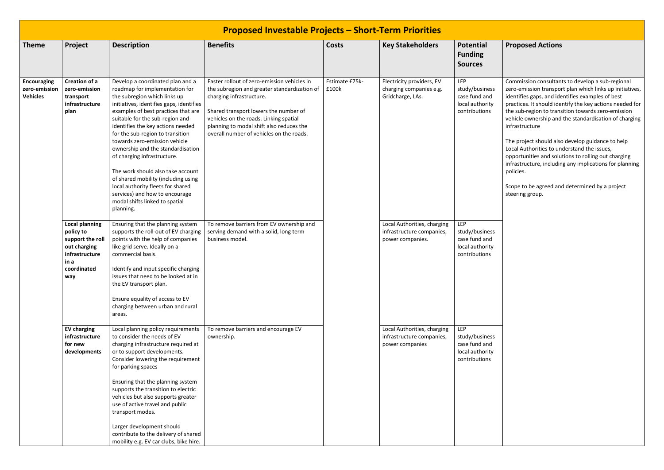## **Proposed Actions**

Commission consultants to develop a sub-regional zero-emission transport plan which links up initiatives, identifies gaps, and identifies examples of best practices. It should identify the key actions needed for the sub-region to transition towards zero-emission vehicle ownership and the standardisation of charging infrastructure

|                                                        |                                                                                                                        |                                                                                                                                                                                                                                                                                                                                                                                                                                                                                                                                                                                                          | <b>Proposed Investable Projects - Short-Term Priorities</b>                                                                                                                                                                                                                                        |                         |                                                                              |                                                                                   |
|--------------------------------------------------------|------------------------------------------------------------------------------------------------------------------------|----------------------------------------------------------------------------------------------------------------------------------------------------------------------------------------------------------------------------------------------------------------------------------------------------------------------------------------------------------------------------------------------------------------------------------------------------------------------------------------------------------------------------------------------------------------------------------------------------------|----------------------------------------------------------------------------------------------------------------------------------------------------------------------------------------------------------------------------------------------------------------------------------------------------|-------------------------|------------------------------------------------------------------------------|-----------------------------------------------------------------------------------|
| <b>Theme</b>                                           | Project                                                                                                                | <b>Description</b>                                                                                                                                                                                                                                                                                                                                                                                                                                                                                                                                                                                       | <b>Benefits</b>                                                                                                                                                                                                                                                                                    | <b>Costs</b>            | <b>Key Stakeholders</b>                                                      | <b>Potential</b><br><b>Funding</b><br><b>Sources</b>                              |
| <b>Encouraging</b><br>zero-emission<br><b>Vehicles</b> | <b>Creation of a</b><br>zero-emission<br>transport<br>infrastructure<br>plan                                           | Develop a coordinated plan and a<br>roadmap for implementation for<br>the subregion which links up<br>initiatives, identifies gaps, identifies<br>examples of best practices that are<br>suitable for the sub-region and<br>identifies the key actions needed<br>for the sub-region to transition<br>towards zero-emission vehicle<br>ownership and the standardisation<br>of charging infrastructure.<br>The work should also take account<br>of shared mobility (including using<br>local authority fleets for shared<br>services) and how to encourage<br>modal shifts linked to spatial<br>planning. | Faster rollout of zero-emission vehicles in<br>the subregion and greater standardization of<br>charging infrastructure.<br>Shared transport lowers the number of<br>vehicles on the roads. Linking spatial<br>planning to modal shift also reduces the<br>overall number of vehicles on the roads. | Estimate £75k-<br>£100k | Electricity providers, EV<br>charging companies e.g.<br>Gridcharge, LAs.     | <b>LEP</b><br>study/business<br>case fund and<br>local authority<br>contributions |
|                                                        | <b>Local planning</b><br>policy to<br>support the roll<br>out charging<br>infrastructure<br>in a<br>coordinated<br>way | Ensuring that the planning system<br>supports the roll-out of EV charging<br>points with the help of companies<br>like grid serve. Ideally on a<br>commercial basis.<br>Identify and input specific charging<br>issues that need to be looked at in<br>the EV transport plan.<br>Ensure equality of access to EV<br>charging between urban and rural<br>areas.                                                                                                                                                                                                                                           | To remove barriers from EV ownership and<br>serving demand with a solid, long term<br>business model.                                                                                                                                                                                              |                         | Local Authorities, charging<br>infrastructure companies,<br>power companies. | <b>LEP</b><br>study/business<br>case fund and<br>local authority<br>contributions |
|                                                        | <b>EV charging</b><br>infrastructure<br>for new<br>developments                                                        | Local planning policy requirements<br>to consider the needs of EV<br>charging infrastructure required at<br>or to support developments.<br>Consider lowering the requirement<br>for parking spaces<br>Ensuring that the planning system<br>supports the transition to electric<br>vehicles but also supports greater<br>use of active travel and public<br>transport modes.<br>Larger development should<br>contribute to the delivery of shared<br>mobility e.g. EV car clubs, bike hire.                                                                                                               | To remove barriers and encourage EV<br>ownership.                                                                                                                                                                                                                                                  |                         | Local Authorities, charging<br>infrastructure companies,<br>power companies  | <b>LEP</b><br>study/business<br>case fund and<br>local authority<br>contributions |

The project should also develop guidance to help Local Authorities to understand the issues, opportunities and solutions to rolling out charging infrastructure, including any implications for planning policies.

Scope to be agreed and determined by a project steering group.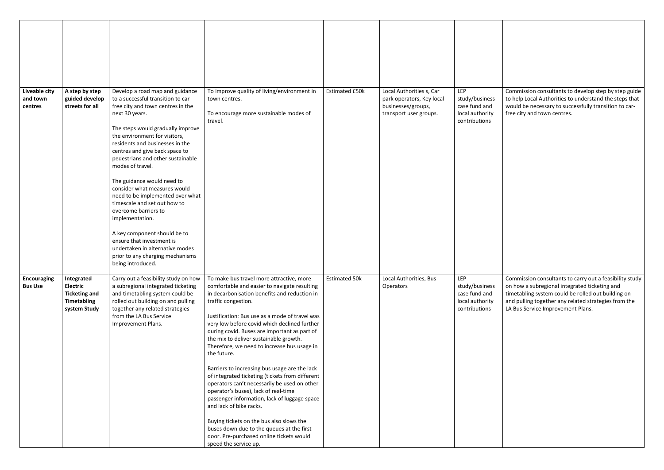Commission consultants to develop step by step guide to help Local Authorities to understand the steps that would be necessary to successfully transition to carfree city and town centres.

| Liveable city<br>and town<br>centres | A step by step<br>guided develop<br>streets for all                                         | Develop a road map and guidance<br>to a successful transition to car-<br>free city and town centres in the<br>next 30 years.<br>The steps would gradually improve<br>the environment for visitors,<br>residents and businesses in the<br>centres and give back space to<br>pedestrians and other sustainable<br>modes of travel.<br>The guidance would need to<br>consider what measures would<br>need to be implemented over what<br>timescale and set out how to<br>overcome barriers to<br>implementation.<br>A key component should be to<br>ensure that investment is<br>undertaken in alternative modes | To improve quality of living/environment in<br>town centres.<br>To encourage more sustainable modes of<br>travel.                                                                                                                                                                                                                                                                                                                                                                                                                                                                                                                                                                                                                                                                                                                                              | <b>Estimated £50k</b> | Local Authorities s, Car<br>park operators, Key local<br>businesses/groups,<br>transport user groups. | LEP<br>study/business<br>case fund and<br>local authority<br>contributions |
|--------------------------------------|---------------------------------------------------------------------------------------------|---------------------------------------------------------------------------------------------------------------------------------------------------------------------------------------------------------------------------------------------------------------------------------------------------------------------------------------------------------------------------------------------------------------------------------------------------------------------------------------------------------------------------------------------------------------------------------------------------------------|----------------------------------------------------------------------------------------------------------------------------------------------------------------------------------------------------------------------------------------------------------------------------------------------------------------------------------------------------------------------------------------------------------------------------------------------------------------------------------------------------------------------------------------------------------------------------------------------------------------------------------------------------------------------------------------------------------------------------------------------------------------------------------------------------------------------------------------------------------------|-----------------------|-------------------------------------------------------------------------------------------------------|----------------------------------------------------------------------------|
| <b>Encouraging</b><br><b>Bus Use</b> | Integrated<br><b>Electric</b><br><b>Ticketing and</b><br><b>Timetabling</b><br>system Study | prior to any charging mechanisms<br>being introduced.<br>Carry out a feasibility study on how<br>a subregional integrated ticketing<br>and timetabling system could be<br>rolled out building on and pulling<br>together any related strategies<br>from the LA Bus Service<br>Improvement Plans.                                                                                                                                                                                                                                                                                                              | To make bus travel more attractive, more<br>comfortable and easier to navigate resulting<br>in decarbonisation benefits and reduction in<br>traffic congestion.<br>Justification: Bus use as a mode of travel was<br>very low before covid which declined further<br>during covid. Buses are important as part of<br>the mix to deliver sustainable growth.<br>Therefore, we need to increase bus usage in<br>the future.<br>Barriers to increasing bus usage are the lack<br>of integrated ticketing (tickets from different<br>operators can't necessarily be used on other<br>operator's buses), lack of real-time<br>passenger information, lack of luggage space<br>and lack of bike racks.<br>Buying tickets on the bus also slows the<br>buses down due to the queues at the first<br>door. Pre-purchased online tickets would<br>speed the service up. | <b>Estimated 50k</b>  | Local Authorities, Bus<br>Operators                                                                   | LEP<br>study/business<br>case fund and<br>local authority<br>contributions |

Commission consultants to carry out a feasibility study on how a subregional integrated ticketing and timetabling system could be rolled out building on and pulling together any related strategies from the LA Bus Service Improvement Plans.